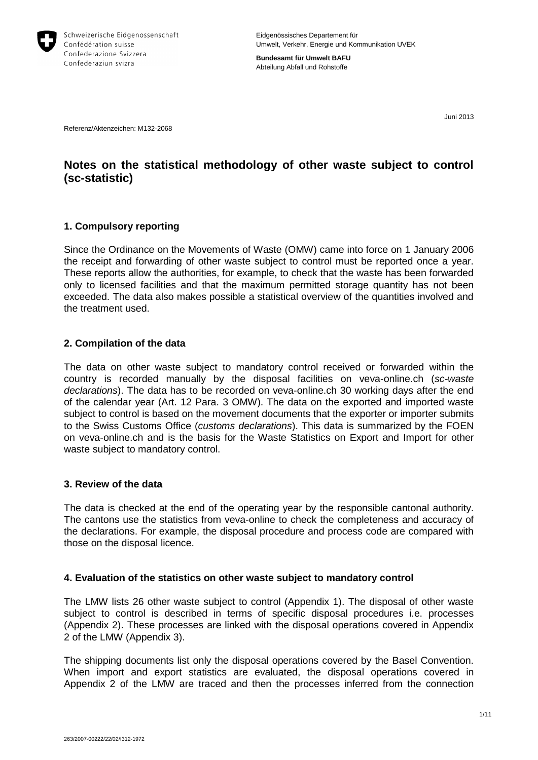

**Bundesamt für Umwelt BAFU** Abteilung Abfall und Rohstoffe

Juni 2013

Referenz/Aktenzeichen: M132-2068

# **Notes on the statistical methodology of other waste subject to control (sc-statistic)**

# **1. Compulsory reporting**

Since the Ordinance on the Movements of Waste (OMW) came into force on 1 January 2006 the receipt and forwarding of other waste subject to control must be reported once a year. These reports allow the authorities, for example, to check that the waste has been forwarded only to licensed facilities and that the maximum permitted storage quantity has not been exceeded. The data also makes possible a statistical overview of the quantities involved and the treatment used.

# **2. Compilation of the data**

The data on other waste subject to mandatory control received or forwarded within the country is recorded manually by the disposal facilities on veva-online.ch (*sc-waste declarations*). The data has to be recorded on veva-online.ch 30 working days after the end of the calendar year (Art. 12 Para. 3 OMW). The data on the exported and imported waste subject to control is based on the movement documents that the exporter or importer submits to the Swiss Customs Office (*customs declarations*). This data is summarized by the FOEN on veva-online.ch and is the basis for the Waste Statistics on Export and Import for other waste subject to mandatory control.

### **3. Review of the data**

The data is checked at the end of the operating year by the responsible cantonal authority. The cantons use the statistics from veva-online to check the completeness and accuracy of the declarations. For example, the disposal procedure and process code are compared with those on the disposal licence.

### **4. Evaluation of the statistics on other waste subject to mandatory control**

The LMW lists 26 other waste subject to control (Appendix 1). The disposal of other waste subject to control is described in terms of specific disposal procedures i.e. processes (Appendix 2). These processes are linked with the disposal operations covered in Appendix 2 of the LMW (Appendix 3).

The shipping documents list only the disposal operations covered by the Basel Convention. When import and export statistics are evaluated, the disposal operations covered in Appendix 2 of the LMW are traced and then the processes inferred from the connection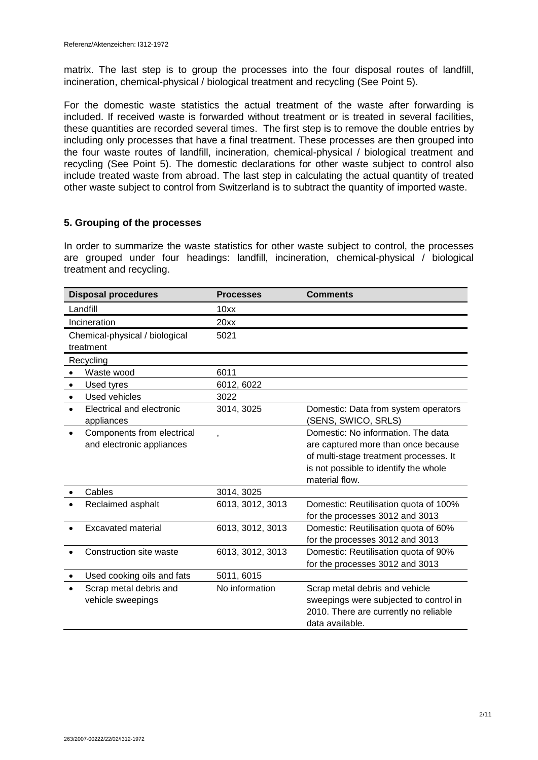matrix. The last step is to group the processes into the four disposal routes of landfill, incineration, chemical-physical / biological treatment and recycling (See Point 5).

For the domestic waste statistics the actual treatment of the waste after forwarding is included. If received waste is forwarded without treatment or is treated in several facilities, these quantities are recorded several times. The first step is to remove the double entries by including only processes that have a final treatment. These processes are then grouped into the four waste routes of landfill, incineration, chemical-physical / biological treatment and recycling (See Point 5). The domestic declarations for other waste subject to control also include treated waste from abroad. The last step in calculating the actual quantity of treated other waste subject to control from Switzerland is to subtract the quantity of imported waste.

### **5. Grouping of the processes**

In order to summarize the waste statistics for other waste subject to control, the processes are grouped under four headings: landfill, incineration, chemical-physical / biological treatment and recycling.

|           | <b>Disposal procedures</b>                              | <b>Processes</b> | <b>Comments</b>                                                                                                                                                                |
|-----------|---------------------------------------------------------|------------------|--------------------------------------------------------------------------------------------------------------------------------------------------------------------------------|
|           | Landfill                                                | 10xx             |                                                                                                                                                                                |
|           | Incineration                                            | 20xx             |                                                                                                                                                                                |
|           | Chemical-physical / biological                          | 5021             |                                                                                                                                                                                |
|           | treatment                                               |                  |                                                                                                                                                                                |
|           | Recycling                                               |                  |                                                                                                                                                                                |
| $\bullet$ | Waste wood                                              | 6011             |                                                                                                                                                                                |
| $\bullet$ | Used tyres                                              | 6012, 6022       |                                                                                                                                                                                |
| $\bullet$ | Used vehicles                                           | 3022             |                                                                                                                                                                                |
| $\bullet$ | Electrical and electronic<br>appliances                 | 3014, 3025       | Domestic: Data from system operators<br>(SENS, SWICO, SRLS)                                                                                                                    |
|           | Components from electrical<br>and electronic appliances | x                | Domestic: No information. The data<br>are captured more than once because<br>of multi-stage treatment processes. It<br>is not possible to identify the whole<br>material flow. |
|           | Cables                                                  | 3014, 3025       |                                                                                                                                                                                |
|           | Reclaimed asphalt                                       | 6013, 3012, 3013 | Domestic: Reutilisation quota of 100%<br>for the processes 3012 and 3013                                                                                                       |
|           | Excavated material                                      | 6013, 3012, 3013 | Domestic: Reutilisation quota of 60%<br>for the processes 3012 and 3013                                                                                                        |
|           | Construction site waste                                 | 6013, 3012, 3013 | Domestic: Reutilisation quota of 90%<br>for the processes 3012 and 3013                                                                                                        |
|           | Used cooking oils and fats                              | 5011, 6015       |                                                                                                                                                                                |
|           | Scrap metal debris and<br>vehicle sweepings             | No information   | Scrap metal debris and vehicle<br>sweepings were subjected to control in<br>2010. There are currently no reliable<br>data available.                                           |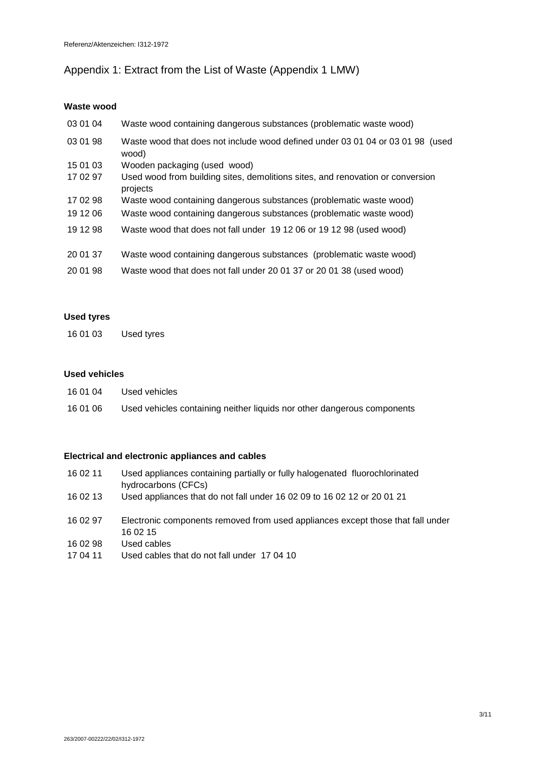# Appendix 1: Extract from the List of Waste (Appendix 1 LMW)

# **Waste wood**

| 03 01 04 | Waste wood containing dangerous substances (problematic waste wood)                        |
|----------|--------------------------------------------------------------------------------------------|
| 03 01 98 | Waste wood that does not include wood defined under 03 01 04 or 03 01 98 (used<br>wood)    |
| 15 01 03 | Wooden packaging (used wood)                                                               |
| 17 02 97 | Used wood from building sites, demolitions sites, and renovation or conversion<br>projects |
| 17 02 98 | Waste wood containing dangerous substances (problematic waste wood)                        |
| 19 12 06 | Waste wood containing dangerous substances (problematic waste wood)                        |
| 19 12 98 | Waste wood that does not fall under 19 12 06 or 19 12 98 (used wood)                       |
| 20 01 37 | Waste wood containing dangerous substances (problematic waste wood)                        |
| 20 01 98 | Waste wood that does not fall under 20 01 37 or 20 01 38 (used wood)                       |

### **Used tyres**

16 01 03 Used tyres

## **Used vehicles**

| 16 01 04 | Used vehicles                                                           |
|----------|-------------------------------------------------------------------------|
| 16 01 06 | Used vehicles containing neither liquids nor other dangerous components |

### **Electrical and electronic appliances and cables**

| 16 02 11 | Used appliances containing partially or fully halogenated fluorochlorinated |
|----------|-----------------------------------------------------------------------------|
|          | hydrocarbons (CFCs)                                                         |
| 100112   | Llood appliances that do not fall under 16.02.00 to 16.02.12 or 20.01.21    |

- 16 02 13 Used appliances that do not fall under 16 02 09 to 16 02 12 or 20 01 21
- 16 02 97 Electronic components removed from used appliances except those that fall under 16 02 15
- 16 02 98 Used cables
- 17 04 11 Used cables that do not fall under 17 04 10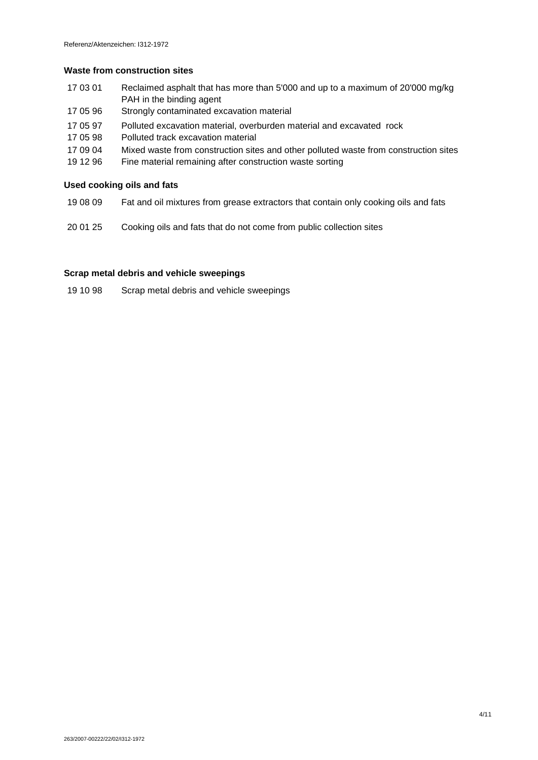#### **Waste from construction sites**

- 17 03 01 Reclaimed asphalt that has more than 5'000 and up to a maximum of 20'000 mg/kg PAH in the binding agent
- 17 05 96 Strongly contaminated excavation material
- 17 05 97 Polluted excavation material, overburden material and excavated rock
- 17 05 98 Polluted track excavation material
- 17 09 04 Mixed waste from construction sites and other polluted waste from construction sites
- 19 12 96 Fine material remaining after construction waste sorting

#### **Used cooking oils and fats**

- 19 08 09 Fat and oil mixtures from grease extractors that contain only cooking oils and fats
- 20 01 25 Cooking oils and fats that do not come from public collection sites

### **Scrap metal debris and vehicle sweepings**

19 10 98 Scrap metal debris and vehicle sweepings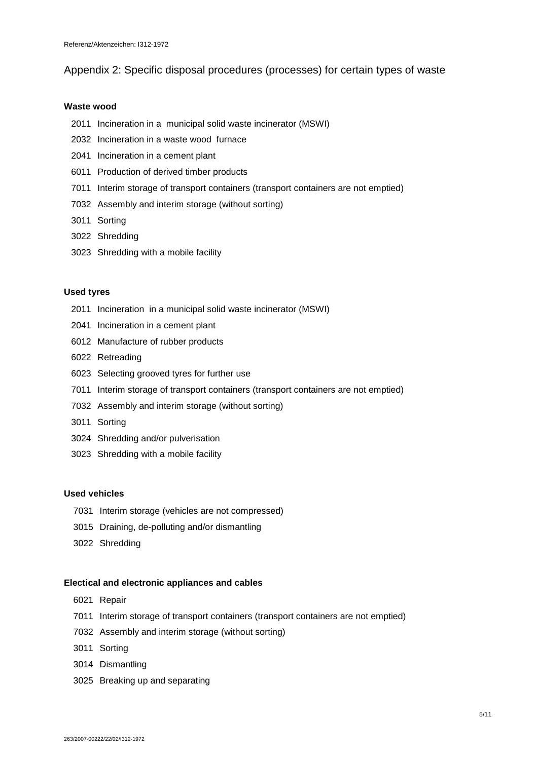## Appendix 2: Specific disposal procedures (processes) for certain types of waste

#### **Waste wood**

- Incineration in a municipal solid waste incinerator (MSWI)
- Incineration in a waste wood furnace
- Incineration in a cement plant
- Production of derived timber products
- Interim storage of transport containers (transport containers are not emptied)
- Assembly and interim storage (without sorting)
- Sorting
- Shredding
- Shredding with a mobile facility

### **Used tyres**

- Incineration in a municipal solid waste incinerator (MSWI)
- Incineration in a cement plant
- Manufacture of rubber products
- Retreading
- Selecting grooved tyres for further use
- Interim storage of transport containers (transport containers are not emptied)
- Assembly and interim storage (without sorting)
- Sorting
- Shredding and/or pulverisation
- Shredding with a mobile facility

#### **Used vehicles**

- Interim storage (vehicles are not compressed)
- Draining, de-polluting and/or dismantling
- Shredding

#### **Electical and electronic appliances and cables**

- Repair
- Interim storage of transport containers (transport containers are not emptied)
- Assembly and interim storage (without sorting)
- Sorting
- Dismantling
- Breaking up and separating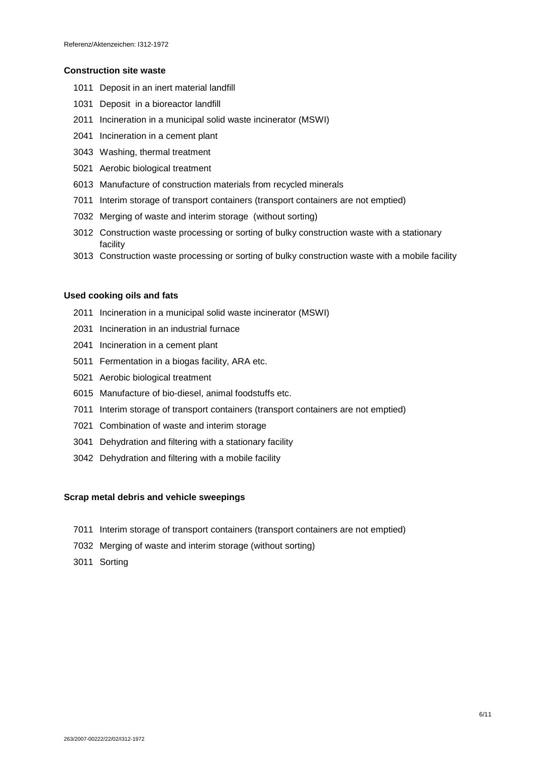#### **Construction site waste**

- Deposit in an inert material landfill
- Deposit in a bioreactor landfill
- Incineration in a municipal solid waste incinerator (MSWI)
- Incineration in a cement plant
- Washing, thermal treatment
- Aerobic biological treatment
- Manufacture of construction materials from recycled minerals
- Interim storage of transport containers (transport containers are not emptied)
- Merging of waste and interim storage (without sorting)
- Construction waste processing or sorting of bulky construction waste with a stationary facility
- Construction waste processing or sorting of bulky construction waste with a mobile facility

#### **Used cooking oils and fats**

- Incineration in a municipal solid waste incinerator (MSWI)
- Incineration in an industrial furnace
- Incineration in a cement plant
- Fermentation in a biogas facility, ARA etc.
- Aerobic biological treatment
- Manufacture of bio-diesel, animal foodstuffs etc.
- Interim storage of transport containers (transport containers are not emptied)
- Combination of waste and interim storage
- Dehydration and filtering with a stationary facility
- Dehydration and filtering with a mobile facility

#### **Scrap metal debris and vehicle sweepings**

- Interim storage of transport containers (transport containers are not emptied)
- Merging of waste and interim storage (without sorting)
- Sorting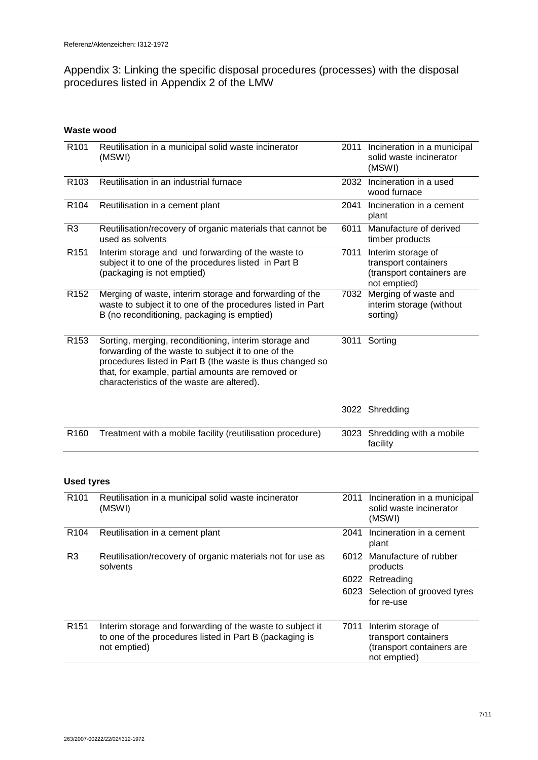Appendix 3: Linking the specific disposal procedures (processes) with the disposal procedures listed in Appendix 2 of the LMW

# **Waste wood**

| R <sub>101</sub>  | Reutilisation in a municipal solid waste incinerator<br>(MSWI)                                                                                                                                                                                                               |      | 2011 Incineration in a municipal<br>solid waste incinerator<br>(MSWI)                   |
|-------------------|------------------------------------------------------------------------------------------------------------------------------------------------------------------------------------------------------------------------------------------------------------------------------|------|-----------------------------------------------------------------------------------------|
| R <sub>103</sub>  | Reutilisation in an industrial furnace                                                                                                                                                                                                                                       | 2032 | Incineration in a used<br>wood furnace                                                  |
| R <sub>104</sub>  | Reutilisation in a cement plant                                                                                                                                                                                                                                              | 2041 | Incineration in a cement<br>plant                                                       |
| R <sub>3</sub>    | Reutilisation/recovery of organic materials that cannot be<br>used as solvents                                                                                                                                                                                               | 6011 | Manufacture of derived<br>timber products                                               |
| R <sub>151</sub>  | Interim storage and und forwarding of the waste to<br>subject it to one of the procedures listed in Part B<br>(packaging is not emptied)                                                                                                                                     | 7011 | Interim storage of<br>transport containers<br>(transport containers are<br>not emptied) |
| R <sub>152</sub>  | Merging of waste, interim storage and forwarding of the<br>waste to subject it to one of the procedures listed in Part<br>B (no reconditioning, packaging is emptied)                                                                                                        | 7032 | Merging of waste and<br>interim storage (without<br>sorting)                            |
| R <sub>153</sub>  | Sorting, merging, reconditioning, interim storage and<br>forwarding of the waste to subject it to one of the<br>procedures listed in Part B (the waste is thus changed so<br>that, for example, partial amounts are removed or<br>characteristics of the waste are altered). |      | 3011 Sorting                                                                            |
|                   |                                                                                                                                                                                                                                                                              |      | 3022 Shredding                                                                          |
| R <sub>160</sub>  | Treatment with a mobile facility (reutilisation procedure)                                                                                                                                                                                                                   | 3023 | Shredding with a mobile<br>facility                                                     |
| <b>Used tyres</b> |                                                                                                                                                                                                                                                                              |      |                                                                                         |
| R <sub>101</sub>  | Reutilisation in a municipal solid waste incinerator<br>(MSWI)                                                                                                                                                                                                               | 2011 | Incineration in a municipal<br>solid waste incinerator                                  |

|                  | (MSWI)                                                                                                                               |      | solid waste incinerator<br>(MSWI)                                                       |
|------------------|--------------------------------------------------------------------------------------------------------------------------------------|------|-----------------------------------------------------------------------------------------|
| R <sub>104</sub> | Reutilisation in a cement plant                                                                                                      | 2041 | Incineration in a cement<br>plant                                                       |
| R <sub>3</sub>   | Reutilisation/recovery of organic materials not for use as<br>solvents                                                               | 6012 | Manufacture of rubber<br>products                                                       |
|                  |                                                                                                                                      |      | 6022 Retreading                                                                         |
|                  |                                                                                                                                      |      | 6023 Selection of grooved tyres<br>for re-use                                           |
| R <sub>151</sub> | Interim storage and forwarding of the waste to subject it<br>to one of the procedures listed in Part B (packaging is<br>not emptied) | 7011 | Interim storage of<br>transport containers<br>(transport containers are<br>not emptied) |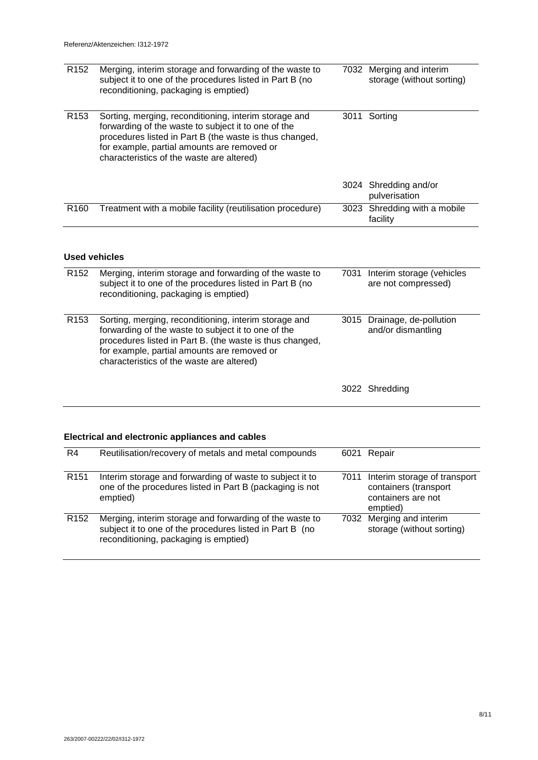| R <sub>152</sub> | Merging, interim storage and forwarding of the waste to<br>subject it to one of the procedures listed in Part B (no<br>reconditioning, packaging is emptied)                                                                                                         |      | 7032 Merging and interim<br>storage (without sorting)                       |
|------------------|----------------------------------------------------------------------------------------------------------------------------------------------------------------------------------------------------------------------------------------------------------------------|------|-----------------------------------------------------------------------------|
| R <sub>153</sub> | Sorting, merging, reconditioning, interim storage and<br>forwarding of the waste to subject it to one of the<br>procedures listed in Part B (the waste is thus changed,<br>for example, partial amounts are removed or<br>characteristics of the waste are altered)  |      | 3011 Sorting                                                                |
|                  |                                                                                                                                                                                                                                                                      |      | 3024 Shredding and/or<br>pulverisation                                      |
| R <sub>160</sub> | Treatment with a mobile facility (reutilisation procedure)                                                                                                                                                                                                           |      | 3023 Shredding with a mobile<br>facility                                    |
|                  | <b>Used vehicles</b>                                                                                                                                                                                                                                                 |      |                                                                             |
| R <sub>152</sub> | Merging, interim storage and forwarding of the waste to<br>subject it to one of the procedures listed in Part B (no<br>reconditioning, packaging is emptied)                                                                                                         | 7031 | Interim storage (vehicles<br>are not compressed)                            |
| R <sub>153</sub> | Sorting, merging, reconditioning, interim storage and<br>forwarding of the waste to subject it to one of the<br>procedures listed in Part B. (the waste is thus changed,<br>for example, partial amounts are removed or<br>characteristics of the waste are altered) |      | 3015 Drainage, de-pollution<br>and/or dismantling                           |
|                  |                                                                                                                                                                                                                                                                      |      | 3022 Shredding                                                              |
|                  | Electrical and electronic appliances and cables                                                                                                                                                                                                                      |      |                                                                             |
| R <sub>4</sub>   | Reutilisation/recovery of metals and metal compounds                                                                                                                                                                                                                 | 6021 | Repair                                                                      |
|                  |                                                                                                                                                                                                                                                                      |      |                                                                             |
| R <sub>151</sub> | Interim storage and forwarding of waste to subject it to<br>one of the procedures listed in Part B (packaging is not<br>emptied)                                                                                                                                     | 7011 | Interim storage of transport<br>containers (transport<br>containers are not |

|                  |                                                                                                                                                              | emptied)                                              |
|------------------|--------------------------------------------------------------------------------------------------------------------------------------------------------------|-------------------------------------------------------|
| R <sub>152</sub> | Merging, interim storage and forwarding of the waste to<br>subject it to one of the procedures listed in Part B (no<br>reconditioning, packaging is emptied) | 7032 Merging and interim<br>storage (without sorting) |
|                  |                                                                                                                                                              |                                                       |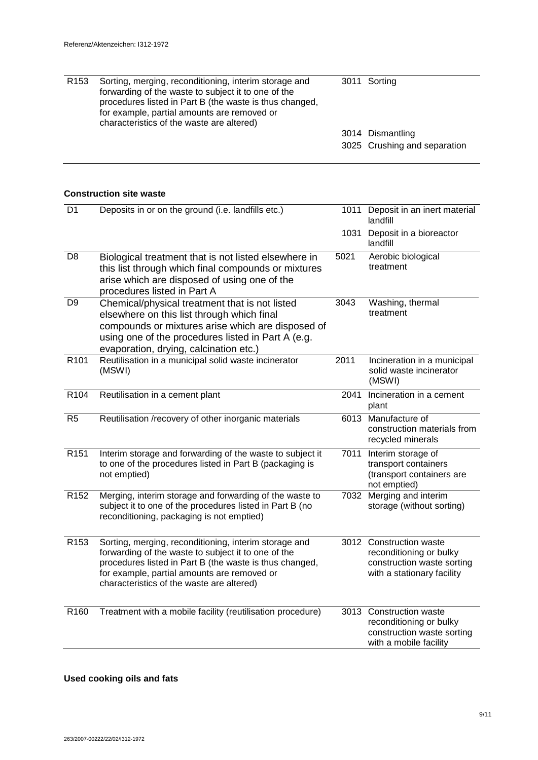| R <sub>153</sub> | Sorting, merging, reconditioning, interim storage and<br>forwarding of the waste to subject it to one of the<br>procedures listed in Part B (the waste is thus changed,<br>for example, partial amounts are removed or<br>characteristics of the waste are altered) | 3011 Sorting                 |
|------------------|---------------------------------------------------------------------------------------------------------------------------------------------------------------------------------------------------------------------------------------------------------------------|------------------------------|
|                  |                                                                                                                                                                                                                                                                     | 3014 Dismantling             |
|                  |                                                                                                                                                                                                                                                                     | 3025 Crushing and separation |

## **Construction site waste**

| D <sub>1</sub>   | Deposits in or on the ground (i.e. landfills etc.)                                                                                                                                                                                                                  | 1011 | Deposit in an inert material<br>landfill                                                                       |
|------------------|---------------------------------------------------------------------------------------------------------------------------------------------------------------------------------------------------------------------------------------------------------------------|------|----------------------------------------------------------------------------------------------------------------|
|                  |                                                                                                                                                                                                                                                                     | 1031 | Deposit in a bioreactor<br>landfill                                                                            |
| D <sub>8</sub>   | Biological treatment that is not listed elsewhere in<br>this list through which final compounds or mixtures<br>arise which are disposed of using one of the<br>procedures listed in Part A                                                                          | 5021 | Aerobic biological<br>treatment                                                                                |
| D <sub>9</sub>   | Chemical/physical treatment that is not listed<br>elsewhere on this list through which final<br>compounds or mixtures arise which are disposed of<br>using one of the procedures listed in Part A (e.g.<br>evaporation, drying, calcination etc.)                   | 3043 | Washing, thermal<br>treatment                                                                                  |
| R <sub>101</sub> | Reutilisation in a municipal solid waste incinerator<br>(MSWI)                                                                                                                                                                                                      | 2011 | Incineration in a municipal<br>solid waste incinerator<br>(MSWI)                                               |
| R104             | Reutilisation in a cement plant                                                                                                                                                                                                                                     | 2041 | Incineration in a cement<br>plant                                                                              |
| R <sub>5</sub>   | Reutilisation /recovery of other inorganic materials                                                                                                                                                                                                                | 6013 | Manufacture of<br>construction materials from<br>recycled minerals                                             |
| R <sub>151</sub> | Interim storage and forwarding of the waste to subject it<br>to one of the procedures listed in Part B (packaging is<br>not emptied)                                                                                                                                | 7011 | Interim storage of<br>transport containers<br>(transport containers are<br>not emptied)                        |
| R <sub>152</sub> | Merging, interim storage and forwarding of the waste to<br>subject it to one of the procedures listed in Part B (no<br>reconditioning, packaging is not emptied)                                                                                                    | 7032 | Merging and interim<br>storage (without sorting)                                                               |
| R <sub>153</sub> | Sorting, merging, reconditioning, interim storage and<br>forwarding of the waste to subject it to one of the<br>procedures listed in Part B (the waste is thus changed,<br>for example, partial amounts are removed or<br>characteristics of the waste are altered) |      | 3012 Construction waste<br>reconditioning or bulky<br>construction waste sorting<br>with a stationary facility |
| R <sub>160</sub> | Treatment with a mobile facility (reutilisation procedure)                                                                                                                                                                                                          |      | 3013 Construction waste<br>reconditioning or bulky<br>construction waste sorting<br>with a mobile facility     |

# **Used cooking oils and fats**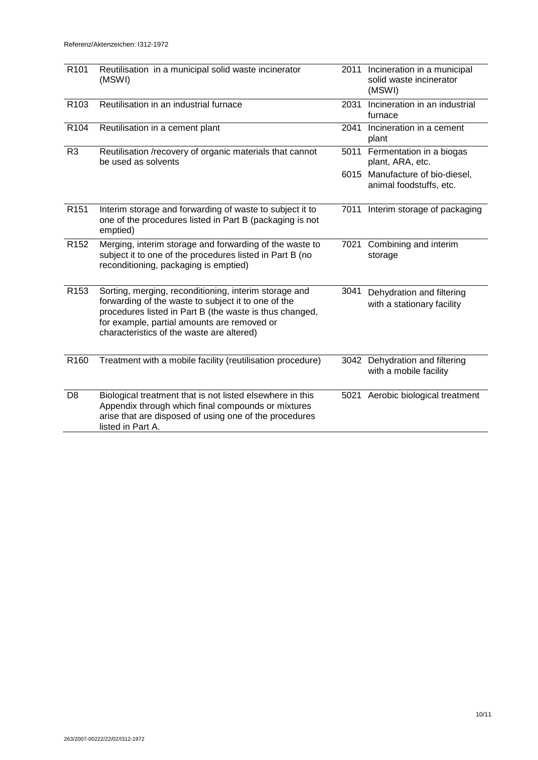| R <sub>101</sub> | Reutilisation in a municipal solid waste incinerator<br>(MSWI)                                                                                                                                                                                                      |      | 2011 Incineration in a municipal<br>solid waste incinerator<br>(MSWI) |
|------------------|---------------------------------------------------------------------------------------------------------------------------------------------------------------------------------------------------------------------------------------------------------------------|------|-----------------------------------------------------------------------|
| R <sub>103</sub> | Reutilisation in an industrial furnace                                                                                                                                                                                                                              | 2031 | Incineration in an industrial<br>furnace                              |
| R <sub>104</sub> | Reutilisation in a cement plant                                                                                                                                                                                                                                     | 2041 | Incineration in a cement<br>plant                                     |
| R <sub>3</sub>   | Reutilisation /recovery of organic materials that cannot<br>be used as solvents                                                                                                                                                                                     |      | 5011 Fermentation in a biogas<br>plant, ARA, etc.                     |
|                  |                                                                                                                                                                                                                                                                     |      | 6015 Manufacture of bio-diesel,<br>animal foodstuffs, etc.            |
| R <sub>151</sub> | Interim storage and forwarding of waste to subject it to<br>one of the procedures listed in Part B (packaging is not<br>emptied)                                                                                                                                    |      | 7011 Interim storage of packaging                                     |
| R <sub>152</sub> | Merging, interim storage and forwarding of the waste to<br>subject it to one of the procedures listed in Part B (no<br>reconditioning, packaging is emptied)                                                                                                        |      | 7021 Combining and interim<br>storage                                 |
| R <sub>153</sub> | Sorting, merging, reconditioning, interim storage and<br>forwarding of the waste to subject it to one of the<br>procedures listed in Part B (the waste is thus changed,<br>for example, partial amounts are removed or<br>characteristics of the waste are altered) | 3041 | Dehydration and filtering<br>with a stationary facility               |
| R <sub>160</sub> | Treatment with a mobile facility (reutilisation procedure)                                                                                                                                                                                                          |      | 3042 Dehydration and filtering<br>with a mobile facility              |
| D <sub>8</sub>   | Biological treatment that is not listed elsewhere in this<br>Appendix through which final compounds or mixtures<br>arise that are disposed of using one of the procedures<br>listed in Part A.                                                                      |      | 5021 Aerobic biological treatment                                     |